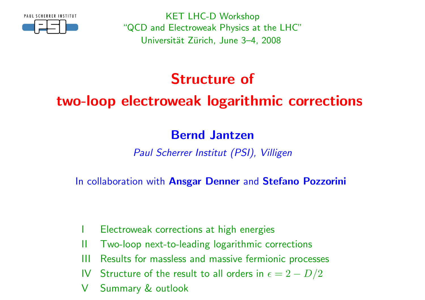

KET LHC-D Workshop "QCD and Electroweak Physics at the LHC"Universität Zürich, June 3–4, 2008

# Structure of

# two-loop electroweak logarithmic corrections

### Bernd Jantzen

Paul Scherrer Institut (PSI), Villigen

In collaboration with Ans<mark>gar Denner</mark> and Stefano Pozzorini

- <sup>I</sup> Electroweak corrections at high energies
- II Two-loop next-to-leading logarithmic corrections
- III Results for massless and massive fermionic processes
- IV  $\:$  Structure of the result to all orders in  $\epsilon = 2 D/2$
- <sup>V</sup> Summary & outlook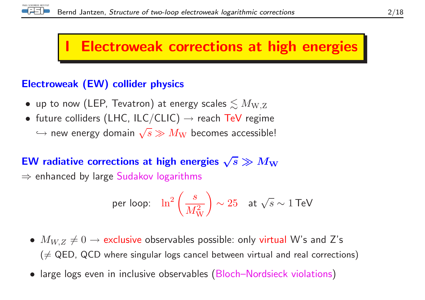

# **Electroweak corrections at high energies**

#### Electroweak (EW) collider physics

- $\bullet\,$  up to now (LEP, Tevatron) at energy scales  $\lesssim M_{\rm W,Z}$
- future colliders (LHC, ILC/CLIC)  $\rightarrow$  reach TeV regime  $\hookrightarrow$  new energy domain  $\sqrt{s} \gg M_{\rm W}$  becomes accessible!

# EW radiative corrections at high energies  $\sqrt{s} \gg M_{\rm W}$   $\rightarrow$  orbanced by large Sudakey logarithms.

 $\Rightarrow$  enhanced by large  $\mathsf{S}$ udakov logarithms

$$
\text{per loop:} \quad \ln^2\left(\frac{s}{M_\mathrm{W}^2}\right) \sim 25 \quad \text{at } \sqrt{s} \sim 1 \,\text{TeV}
$$

- $M_{W,Z} \neq 0 \rightarrow$  exclusive observables possible: only virtual W's and Z's  $(\neq {\sf QED}$ ,  ${\sf QCD}$  where singular logs cancel between virtual and real corrections)
- large logs even in inclusive observables (Bloch–Nordsieck violations)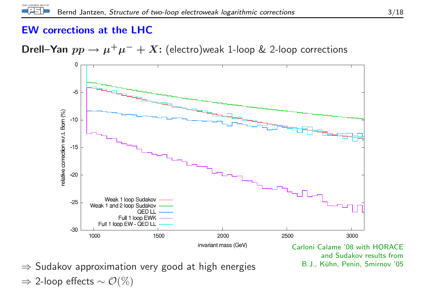#### EW corrections at the LHC

#### Drell–Yan  $pp \to$  $\rightarrow \mu^+\mu^- + X$ : (electro)weak 1-loop & 2-loop corrections



 and Sudakov results fromB.J., Kühn, Penin, Smirnov '05

⇒ Sudakov approximation very good at high energies E.J., Kühn, Penin, Smirnov '05  $\Rightarrow$  2-loop effects  $\sim \mathcal{O}(\%)$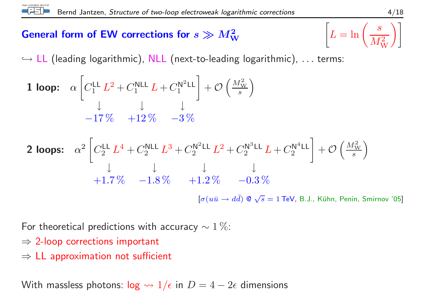# General form of EW corrections for  $s \gg M_\mathrm{W}^2$

PAUL SCHERRER INSTITUT

**General form of EW corrections for** 
$$
s \gg M_W^2
$$
  $\left[L = \ln\left(\frac{s}{M_W^2}\right)\right]$   
 $\hookrightarrow$  LL (leading logarithmic), NLL (next-to-leading logarithmic), ... terms:

**1 loop:** 
$$
\alpha \left[ C_1^{\text{LL}} L^2 + C_1^{\text{NLL}} L + C_1^{\text{N}^2 \text{LL}} \right] + \mathcal{O} \left( \frac{M_{\text{W}}^2}{s} \right)
$$
  
 $-17\% + 12\% - 3\%$ 

**2 loops:** 
$$
\alpha^2 \begin{bmatrix} C_2^{LL} L^4 + C_2^{NLL} L^3 + C_2^{N^2LL} L^2 + C_2^{N^3LL} L + C_2^{N^4LL} \end{bmatrix} + \mathcal{O}\left(\frac{M_W^2}{s}\right)
$$
  
+1.7\%  $-1.8\%$   $+1.2\%$   $-0.3\%$   

$$
[\sigma(u\bar{u} \rightarrow d\bar{d}) \otimes \sqrt{s} = 1 \text{ TeV, B.J., Kühn, Penin, Smirnov '05]}
$$

For theoretical predictions with accuracy  $\sim 1\,\%$ :

- $\Rightarrow$  2-loop corrections important
- $\Rightarrow$  LL approximation not sufficient

With massless photons:  $\log \leadsto 1/\epsilon$  in  $D = 4 - 2\epsilon$  dimensions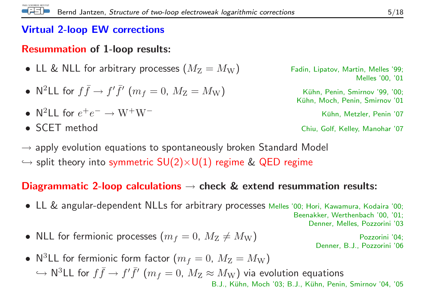#### Virtual 2-loop EW corrections

## Resummation of 1-loop results:

- $\bullet\,$  LL & NLL for arbitrary processes  $(M_{\rm Z}=$
- •• N<sup>2</sup>LL for  $f\bar{f} \to f'\bar{f}'$   $(m_f=0,~M_{\rm Z}=M_{\rm W})$  Kühn, Penin, Smirnov '99, '00;<br>Kühn, Moch, Penin, Smirnov '01

\n- $$
\mathsf{N}^2LL
$$
 for  $e^+e^- \to \mathrm{W}^+\mathrm{W}^-$
\n- $\mathsf{N}^2LL$  for  $e^+e^- \to \mathrm{W}^+\mathrm{W}^-$
\n- $\mathsf{N}^2LL$  for  $e^+e^- \to \mathrm{W}^+\mathrm{W}^-$
\n- $\mathsf{N}^2LL$  for  $e^+e^- \to \mathrm{W}^+\mathrm{W}^-$
\n- $\mathsf{N}^2LL$  for  $e^+e^- \to \mathrm{W}^+\mathrm{W}^-$
\n- $\mathsf{N}^2LL$  for  $e^+e^- \to \mathrm{W}^+\mathrm{W}^-$
\n

• SCET method

Fadin, Lipatov, Martin, Melles '99; Melles '00, '01

Kühn, Moch, Penin, Smirnov '01

Chiu, Golf, Kelley, Manohar '07

 $\rightarrow$  apply evolution equations to spontaneously broken Standard Model<br> $\rightarrow$  aplit the suminte summatric  $SU(2)$  valuables ince  $\ell$  OFD marines  $\hookrightarrow$  split theory into symmetric  $\mathsf{SU}(2){\times}\mathsf{U}(1)$  regime  $\&$  QED regime

# $\mathsf{\textbf{D}}$ iagrammatic 2-loop calculations  $\rightarrow$  check  $\&$  extend resummation results:

- LL & angular-dependent NLLs for arbitrary processes Melles '00; Hori, Kawamura, Kodaira '00; Beenakker, Werthenbach '00, '01; Denner, Melles, Pozzorini '03
- $\bullet\,$  NLL for fermionic processes  $(m_f=0,\ M_{\rm Z}\neq$  $\neq M_{\mathrm{W}})$  Pozzorini '04;<br>Denner, B.J., Pozzorini '06

• N<sup>3</sup>LL for fermionic form factor  $(m_f = 0, M_{\rm Z} = M_{\rm W})$  $\hookrightarrow$  $\hookrightarrow$   $\mathsf{N}^{3}\mathsf{LL}$  for  $f\bar{f} \to f'\bar{f}'$   $(m_{f}=0,\ M_{\mathrm{Z}} \approx M_{\mathrm{W}})$  via evolution equations  $_{\mathsf{BLJ.},\ \mathsf{K\ddot{u}hn,\ \mathsf{Moch}}^{3}$  (03: B.J., Kühn, Penir B.J., Kühn, Moch '03; B.J., Kühn, Penin, Smirnov '04, '05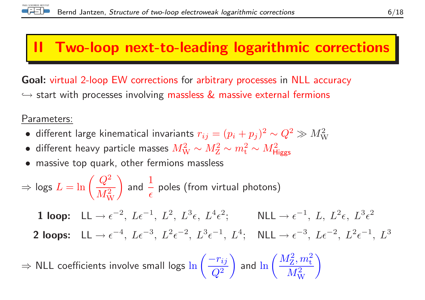

# II Two-loop next-to-leading logarithmic corrections

Goal: virtual 2-loop EW corrections for arbitrary processes in NLL accuracy  $\hookrightarrow$  start with processes involving massless  $\&$  massive external fermions

Parameters:

- different large kinematical invariants  $r_{ij} = (p_i + p_j)^2 \sim Q^2 \gg M_{\rm W}^2$
- different heavy particle masses  $M_{\rm W}^2 \sim M_{\rm Z}^2 \sim m_{\rm t}^2 \sim M_{\rm Higgs}^2$
- massive top quark, other fermions massless

$$
\Rightarrow \text{logs } L = \ln\left(\frac{Q^2}{M_\text{W}^2}\right) \text{ and } \frac{1}{\epsilon} \text{ poles (from virtual photons)}
$$

 $1$  loop:  $LL \rightarrow$  $\rightarrow \epsilon^{-2}, L\epsilon^{-1}, L^2, L^3\epsilon, L^4\epsilon^2; \qquad \text{NLL} \rightarrow \epsilon^{-1}, L, L^2\epsilon, L^3\epsilon^2$ 

2 loops:  $LL \rightarrow$  $\rightarrow \epsilon^{-4}, L\epsilon^{-3}, L^2\epsilon^{-2}, L^3\epsilon^{-1}, L^4; \quad \text{NLL} \rightarrow \epsilon^{-3}, L\epsilon^{-2}, L^2\epsilon^{-1}, L^3$ 

⇒⇒ NLL coefficients involve small logs  $\ln\left(\dfrac{-r_{ij}}{Q^2}\right)$  and  $\ln\left(\dfrac{M_\mathrm{Z}^2,m_\mathrm{t}^2}{M_\mathrm{W}^2}\right)$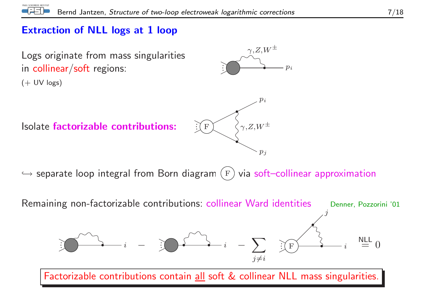#### Extraction of NLL logs at 1 loop



 $\hookrightarrow$  separate loop integral from Born diagram  $(\mathrm{F})$  via soft–collinear approximation

 $p_i$ 



Factorizable contributions contain all soft & collinear NLL mass singularities.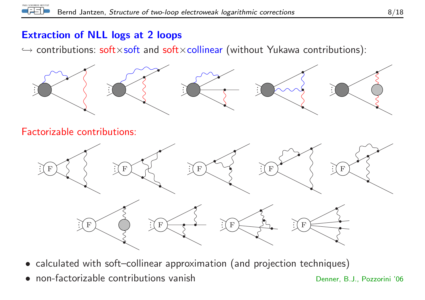#### Extraction of NLL logs at <sup>2</sup> loops

 $\hookrightarrow$  contributions:  $\mathsf{soft} \times \mathsf{soft}$  and  $\mathsf{soft} \times \mathsf{collinear}$  (without Yukawa contributions):



Factorizable contributions:



- calculated with soft–collinear approximation (and projection techniques)
- •non-factorizable contributions vanish

Denner, B.J., Pozzorini '06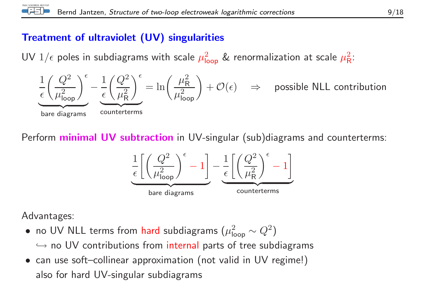#### Treatment of ultraviolet (UV) singularities

UV  $1/\epsilon$  poles in subdiagrams with scale  $\mu_{\mathsf{loop}}^2$  & renormalization at scale  $\mu_{\mathsf{R}}^2$ :



Perform **minimal UV subtraction** in UV-singular (sub)diagrams and counterterms:



Advantages:

- no UV NLL terms from hard subdiagrams  $(\mu_{\mathsf{loop}}^2 \sim Q^2)$  $\hookrightarrow$  no UV contributions from internal parts of tree subdiagrams<br>see use of the ellipsex communication (not uslid in UV marineal)
- can use soft–collinear approximation (not valid in UV regime!) also for hard UV-singular subdiagrams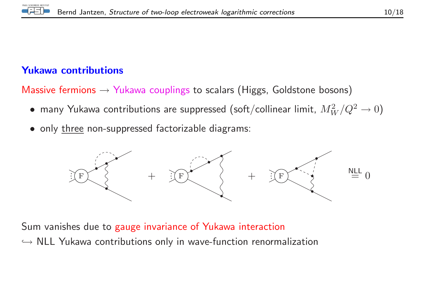

#### Yukawa contributions

Massive fermions  $\rightarrow$  Yukawa couplings to scalars (Higgs, Goldstone bosons)

- $\bullet\,$  many Yukawa contributions are suppressed (soft/collinear limit,  $M_W^2/Q^2 \rightarrow 0)$
- only three non-suppressed factorizable diagrams:



Sum vanishes due to gauge invariance of Yukawa interaction $\hookrightarrow$  NLL Yukawa contributions only in wave-function renormalization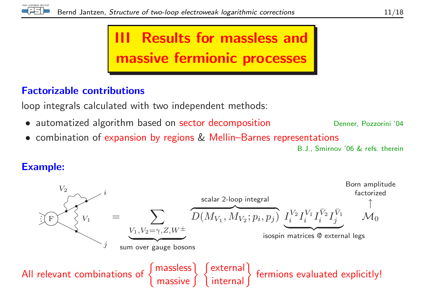

# III Results for massless and massive fermionic processes

#### Factorizable contributions

loop integrals calculated with two independent methods:

- automatized algorithm based on sector decomposition
- combination of expansion by regions & Mellin–Barnes representations

B.J., Smirnov '06 & refs. therein

Denner, Pozzorini '04

#### Example:

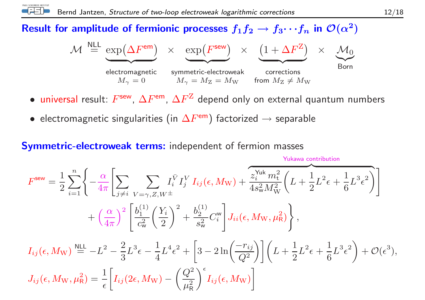# Result for amplitude of fermionic processes  $f_1f_2\to f_3\cdots f_n$  in  ${\cal O}(\alpha^2)$

$$
\mathcal{M} \stackrel{\text{NLL}}{=} \underbrace{\exp(\Delta F^{\text{em}})}_{\text{electromagnetic}} \times \underbrace{\exp(F^{\text{sew}})}_{\text{symmetric-electroweak}} \times \underbrace{(1 + \Delta F^{Z})}_{\text{corrections}} \times \underbrace{\mathcal{M}_{0}}_{\text{Born}}
$$

- $\bullet$  universal result:  $F^{\sf sew},\, \Delta F^{\sf em},\, \Delta F^{\sf Z}$  depend only on external quantum numbers
- $\bullet\,$  electromagnetic singularities (in  $\Delta F^{\mathsf{em}})$  factorized  $\rightarrow$  separable

#### Symmetric-electroweak terms: independent of fermion masses

$$
F^{\text{sew}} = \frac{1}{2} \sum_{i=1}^{n} \left\{ -\frac{\alpha}{4\pi} \left[ \sum_{j \neq i} \sum_{V=\gamma, Z, W^{\pm}} I_i^{\bar{V}} I_j^{\bar{V}} I_{ij}(\epsilon, M_{\text{W}}) + \overbrace{\frac{z_i^{\text{Yuk}} m_t^2}{4s_w^2 M_W^2}}^{\text{Yukawa contribution}} \left( L + \frac{1}{2} L^2 \epsilon + \frac{1}{6} L^3 \epsilon^2 \right) \right] + \left( \frac{\alpha}{4\pi} \right)^2 \left[ \frac{b_1^{(1)}}{c_w^2} \left( \frac{Y_i}{2} \right)^2 + \frac{b_2^{(1)}}{s_w^2} C_i^{\text{w}} \right] J_{ii}(\epsilon, M_{\text{W}}, \mu_R^2) \right\},
$$
  

$$
I_{ij}(\epsilon, M_{\text{W}}) \stackrel{\text{NLL}}{=} -L^2 - \frac{2}{3} L^3 \epsilon - \frac{1}{4} L^4 \epsilon^2 + \left[ 3 - 2 \ln \left( \frac{-r_{ij}}{Q^2} \right) \right] \left( L + \frac{1}{2} L^2 \epsilon + \frac{1}{6} L^3 \epsilon^2 \right) + \mathcal{O}(\epsilon^3),
$$
  

$$
J_{ij}(\epsilon, M_{\text{W}}, \mu_R^2) = \frac{1}{\epsilon} \left[ I_{ij} (2\epsilon, M_{\text{W}}) - \left( \frac{Q^2}{\mu_R^2} \right)^{\epsilon} I_{ij}(\epsilon, M_{\text{W}}) \right]
$$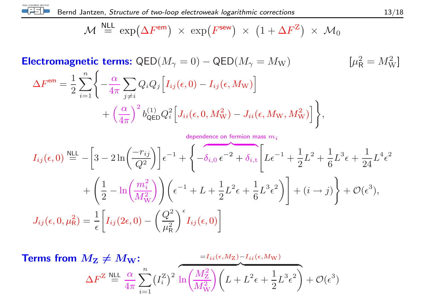

$$
\mathcal{M} \stackrel{\text{NLL}}{=} \exp(\Delta F^{\text{em}}) \times \exp(F^{\text{sew}}) \times (1 + \Delta F^Z) \times \mathcal{M}_0
$$

**Electromagnetic terms:** QED $(M_{\gamma} = 0) - \text{QED}(M_{\gamma} = M_{\text{W}})$  [ $\mu_{\text{R}}^2 = M_{\text{W}}^2$ ]

$$
\Delta F^{\text{em}} = \frac{1}{2} \sum_{i=1}^{n} \left\{ -\frac{\alpha}{4\pi} \sum_{j \neq i} Q_i Q_j \left[ I_{ij}(\epsilon, 0) - I_{ij}(\epsilon, M_{\text{W}}) \right] + \left( \frac{\alpha}{4\pi} \right)^2 b_{\text{QED}}^{(1)} Q_i^2 \left[ J_{ii}(\epsilon, 0, M_{\text{W}}^2) - J_{ii}(\epsilon, M_{\text{W}}, M_{\text{W}}^2) \right] \right\},\,
$$

$$
I_{ij}(\epsilon,0) \stackrel{\text{NLL}}{=} -\left[3 - 2\ln\left(\frac{-r_{ij}}{Q^2}\right)\right] \epsilon^{-1} + \left\{-\delta_{i,0}\,\epsilon^{-2} + \delta_{i,\text{t}} \left[L\epsilon^{-1} + \frac{1}{2}L^2 + \frac{1}{6}L^3\epsilon + \frac{1}{24}L^4\epsilon^2 + \frac{1}{2}\left[\frac{1}{2} - \ln\left(\frac{m_i^2}{M_W^2}\right)\right]\right] \epsilon^{-1} + L + \frac{1}{2}L^2\epsilon + \frac{1}{6}L^3\epsilon^2\right)\right] + (i \to j)\right\} + \mathcal{O}(\epsilon^3),
$$
  

$$
J_{ij}(\epsilon,0,\mu_{\text{R}}^2) = \frac{1}{\epsilon} \left[I_{ij}(2\epsilon,0) - \left(\frac{Q^2}{\mu_{\text{R}}^2}\right)^\epsilon I_{ij}(\epsilon,0)\right]
$$

Terms from  $M_{\bf Z}$   $\neq$  $\neq M_{\mathrm{W}}$ :  $\Delta F^\mathrm{Z} \stackrel{\sf NLL}{=} \frac{\alpha}{4\pi}$  $\frac{x}{\pi} \sum_{i=1}$  $\,n$  $i$   $\!=$   $\!1$  $\left(I_i^{\rm Z}\right)^2$  $= \!I_{ii}(\epsilon,M_{\rm Z})\!-\!I_{ii}(\epsilon,M_{\rm W})$  $\overbrace{\hspace{2.5cm}}^{2}$  $\ln\biggl(\frac{M_{\rm Z}^2}{M_{\rm W}^2}\biggr)\biggl(L+L^2\epsilon+\frac{1}{2}L^3\epsilon^2\biggr)+\mathcal{O}(\epsilon^3)$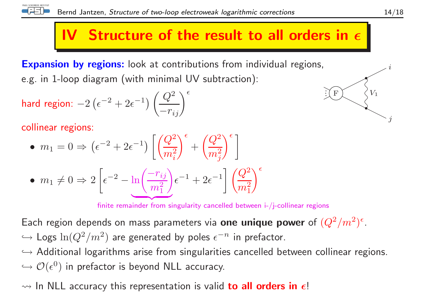

# IV Structure of the result to all orders in  $\epsilon$

**Expansion by regions:** look at contributions from individual regions, e.g. in 1-loop diagram (with minimal UV subtraction):

$$
\textsf{hard region: } -2\left(\epsilon^{-2} + 2\epsilon^{-1}\right) \left(\frac{Q^2}{-r_{ij}}\right)^{\epsilon}
$$

collinear regions:

• 
$$
m_1 = 0 \Rightarrow (\epsilon^{-2} + 2\epsilon^{-1}) \left[ \left( \frac{Q^2}{m_i^2} \right)^{\epsilon} + \left( \frac{Q^2}{m_j^2} \right)^{\epsilon} \right]
$$
  
\n•  $m_1 \neq 0 \Rightarrow 2 \left[ \epsilon^{-2} - \ln \left( \frac{-r_{ij}}{m_1^2} \right) \epsilon^{-1} + 2\epsilon^{-1} \right] \left( \frac{Q^2}{m_1^2} \right)^{\epsilon}$ 

finite remainder from singularity cancelled between i-/j-collinear regions

Each region depends on mass parameters via  ${\bf one}$  unique  ${\bf power}$  of  $(Q^2/m^2)^{\epsilon}.$  $\hookrightarrow$  Logs  $\ln(Q^2/m^2)$  are generated by poles  $\epsilon^{-n}$  in prefactor.

֒→ Additional logarithms arise from singularities cancelled between collinear regions.  $\hookrightarrow \mathcal{O}(\epsilon^0)$  in prefactor is beyond NLL accuracy.

## $\rightsquigarrow$  In NLL accuracy this representation is valid  $\bf{to}$  all  $\bf{orders}$  in  $\bm{\epsilon}!$

 $\it i$ 

F

 $\mathbf{F} \setminus \mathcal{S}^{V_1}$ 

j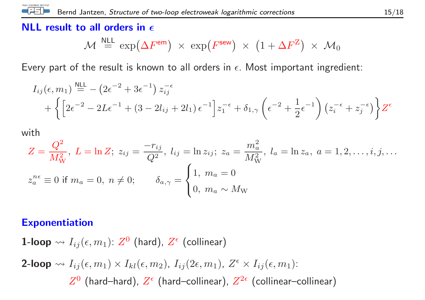## NLL result to all orders in  $\epsilon$

$$
\mathcal{M} \stackrel{\text{NLL}}{=} \exp(\Delta F^{\text{em}}) \times \exp(F^{\text{sew}}) \times (1 + \Delta F^Z) \times \mathcal{M}_0
$$

Every part of the result is known to all orders in  $\epsilon.$  Most important ingredient:

$$
I_{ij}(\epsilon, m_1) \stackrel{\text{NLL}}{=} -\left(2\epsilon^{-2} + 3\epsilon^{-1}\right) z_{ij}^{-\epsilon} + \left\{ \left[2\epsilon^{-2} - 2L\epsilon^{-1} + (3 - 2l_{ij} + 2l_1)\epsilon^{-1}\right] z_1^{-\epsilon} + \delta_{1,\gamma} \left(\epsilon^{-2} + \frac{1}{2}\epsilon^{-1}\right) \left(z_i^{-\epsilon} + z_j^{-\epsilon}\right) \right\} Z^{\epsilon}
$$

with

PAUL SCHERRER INSTITUT

$$
Z = \frac{Q^2}{M_W^2}, \ L = \ln Z; \ z_{ij} = \frac{-r_{ij}}{Q^2}, \ l_{ij} = \ln z_{ij}; \ z_a = \frac{m_a^2}{M_W^2}, \ l_a = \ln z_a, \ a = 1, 2, \dots, i, j, \dots
$$

$$
z_a^{n\epsilon} \equiv 0 \text{ if } m_a = 0, \ n \neq 0; \qquad \delta_{a,\gamma} = \begin{cases} 1, \ m_a = 0 \\ 0, \ m_a \sim M_W \end{cases}
$$

#### Exponentiation

 ${\bf 1}\text{-loop} \leadsto I_{ij}(\epsilon, m_1) {\rm :} \; Z^{\mathbf{0}}$  (hard),  $Z^{\epsilon}$  (collinear) 2-loop  $\rightsquigarrow I_{ij} (\epsilon, m_1) \times I_{kl} (\epsilon, m_2)$ ,  $I_{ij} (2\epsilon, m_1)$ ,  $Z^\epsilon \times I_{ij} (\epsilon, m_1)$ :  $Z^0$  (hard–hard),  $Z^\epsilon$  (hard–collinear),  $Z^{2\epsilon}$  (collinear–collinear)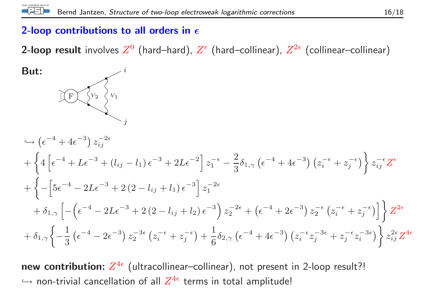## 2-loop contributions to all orders in  $\epsilon$

**2-loop result** involves  $Z^0$  (hard–hard),  $Z^\epsilon$  (hard–collinear),  $Z^{2\epsilon}$  (collinear–collinear)

But:  
\n
$$
\frac{1}{2} \int_{V_2} V_1
$$
\n
$$
+ \left\{ 4 \left[ e^{-4} + 2e^{-3} + (l_{ij} - l_1) e^{-3} + 2Le^{-2} \right] z_1^{-\epsilon} - \frac{2}{3} \delta_{1,\gamma} (e^{-4} + 4e^{-3}) (z_i^{-\epsilon} + z_j^{-\epsilon}) \right\} z_{ij}^{-\epsilon} Z^{\epsilon}
$$
\n
$$
+ \left\{ - \left[ 5e^{-4} - 2Le^{-3} + 2(2 - l_{ij} + l_1) e^{-3} \right] z_1^{-2\epsilon} + \delta_{1,\gamma} \left[ - \left( e^{-4} - 2Le^{-3} + 2(2 - l_{ij} + l_2) e^{-3} \right) z_2^{-2\epsilon} + (e^{-4} + 2e^{-3}) z_2^{-\epsilon} (z_i^{-\epsilon} + z_j^{-\epsilon}) \right] \right\} Z^{2\epsilon}
$$
\n
$$
+ \delta_{1,\gamma} \left\{ -\frac{1}{3} (e^{-4} - 2e^{-3}) z_2^{-3\epsilon} (z_i^{-\epsilon} + z_j^{-\epsilon}) + \frac{1}{6} \delta_{2,\gamma} (e^{-4} + 4e^{-3}) (z_i^{-\epsilon} z_j^{-3\epsilon} + z_j^{-\epsilon} z_i^{-3\epsilon}) \right\} z_{ij}^{2\epsilon} Z^{4\epsilon}
$$

new contribution:  $Z^{4\epsilon}$  (ultracollinear–collinear), not present in 2-loop result?!  $\hookrightarrow$  non-trivial cancellation of all  $Z^{4\epsilon}$  terms in total amplitude!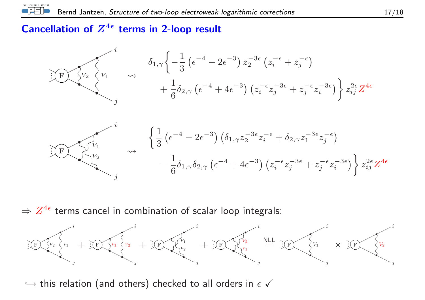#### Cancellation of  $Z^{4\epsilon}$  terms in 2-loop result



 $\Rightarrow Z^{4\epsilon}$  terms cancel in combination of scalar loop integrals:



 $\hookrightarrow$  this relation (and others) checked to all orders in  $\epsilon$   $\checkmark$